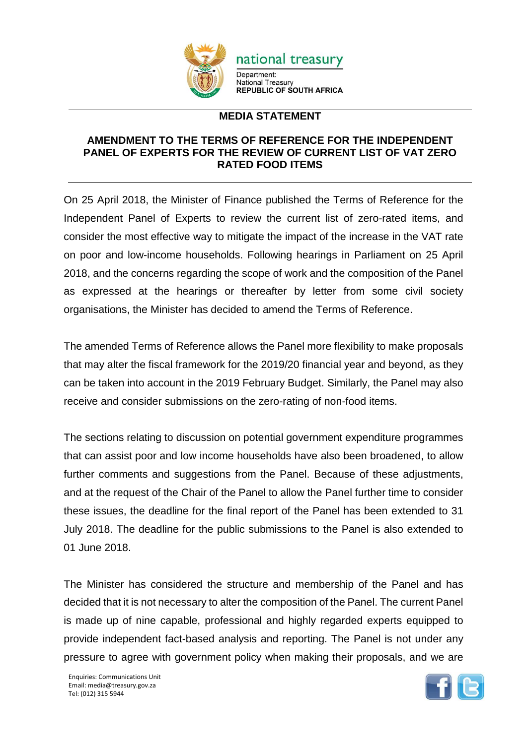

## **MEDIA STATEMENT**

## **AMENDMENT TO THE TERMS OF REFERENCE FOR THE INDEPENDENT PANEL OF EXPERTS FOR THE REVIEW OF CURRENT LIST OF VAT ZERO RATED FOOD ITEMS**

On 25 April 2018, the Minister of Finance published the Terms of Reference for the Independent Panel of Experts to review the current list of zero-rated items, and consider the most effective way to mitigate the impact of the increase in the VAT rate on poor and low-income households. Following hearings in Parliament on 25 April 2018, and the concerns regarding the scope of work and the composition of the Panel as expressed at the hearings or thereafter by letter from some civil society organisations, the Minister has decided to amend the Terms of Reference.

The amended Terms of Reference allows the Panel more flexibility to make proposals that may alter the fiscal framework for the 2019/20 financial year and beyond, as they can be taken into account in the 2019 February Budget. Similarly, the Panel may also receive and consider submissions on the zero-rating of non-food items.

The sections relating to discussion on potential government expenditure programmes that can assist poor and low income households have also been broadened, to allow further comments and suggestions from the Panel. Because of these adjustments, and at the request of the Chair of the Panel to allow the Panel further time to consider these issues, the deadline for the final report of the Panel has been extended to 31 July 2018. The deadline for the public submissions to the Panel is also extended to 01 June 2018.

The Minister has considered the structure and membership of the Panel and has decided that it is not necessary to alter the composition of the Panel. The current Panel is made up of nine capable, professional and highly regarded experts equipped to provide independent fact-based analysis and reporting. The Panel is not under any pressure to agree with government policy when making their proposals, and we are